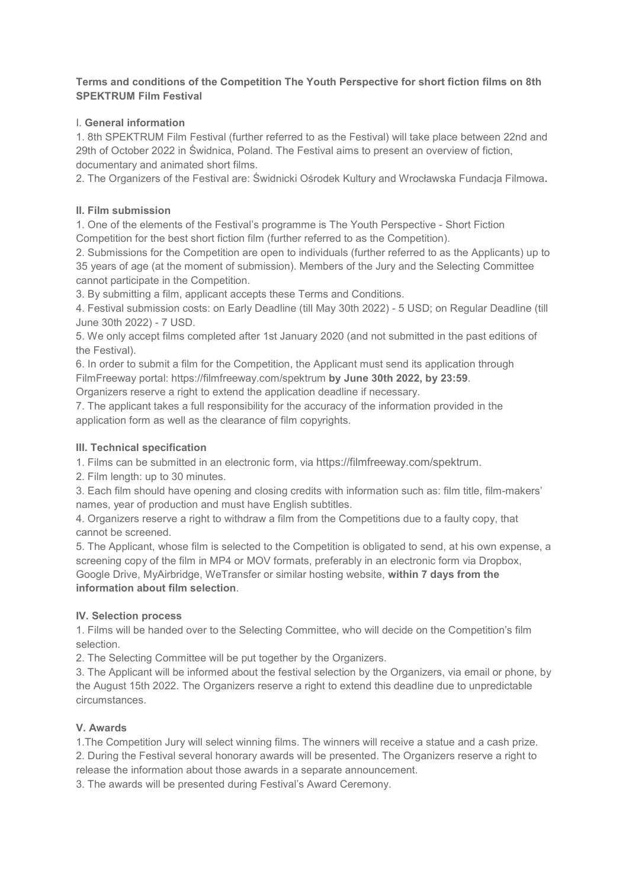## **Terms and conditions of the Competition The Youth Perspective for short fiction films on 8th SPEKTRUM Film Festival**

# I. **General information**

1. 8th SPEKTRUM Film Festival (further referred to as the Festival) will take place between 22nd and 29th of October 2022 in Świdnica, Poland. The Festival aims to present an overview of fiction, documentary and animated short films.

2. The Organizers of the Festival are: Świdnicki Ośrodek Kultury and Wrocławska Fundacja Filmowa**.** 

#### **II. Film submission**

1. One of the elements of the Festival's programme is The Youth Perspective - Short Fiction Competition for the best short fiction film (further referred to as the Competition).

2. Submissions for the Competition are open to individuals (further referred to as the Applicants) up to 35 years of age (at the moment of submission). Members of the Jury and the Selecting Committee cannot participate in the Competition.

3. By submitting a film, applicant accepts these Terms and Conditions.

4. Festival submission costs: on Early Deadline (till May 30th 2022) - 5 USD; on Regular Deadline (till June 30th 2022) - 7 USD.

5. We only accept films completed after 1st January 2020 (and not submitted in the past editions of the Festival).

6. In order to submit a film for the Competition, the Applicant must send its application through FilmFreeway portal: https://filmfreeway.com/spektrum **by June 30th 2022, by 23:59**.

Organizers reserve a right to extend the application deadline if necessary.

7. The applicant takes a full responsibility for the accuracy of the information provided in the application form as well as the clearance of film copyrights.

#### **III. Technical specification**

1. Films can be submitted in an electronic form, via https://filmfreeway.com/spektrum.

2. Film length: up to 30 minutes.

3. Each film should have opening and closing credits with information such as: film title, film-makers' names, year of production and must have English subtitles.

4. Organizers reserve a right to withdraw a film from the Competitions due to a faulty copy, that cannot be screened.

5. The Applicant, whose film is selected to the Competition is obligated to send, at his own expense, a screening copy of the film in MP4 or MOV formats, preferably in an electronic form via Dropbox, Google Drive, MyAirbridge, WeTransfer or similar hosting website, **within 7 days from the information about film selection**.

# **IV. Selection process**

1. Films will be handed over to the Selecting Committee, who will decide on the Competition's film selection.

2. The Selecting Committee will be put together by the Organizers.

3. The Applicant will be informed about the festival selection by the Organizers, via email or phone, by the August 15th 2022. The Organizers reserve a right to extend this deadline due to unpredictable circumstances.

# **V. Awards**

1.The Competition Jury will select winning films. The winners will receive a statue and a cash prize. 2. During the Festival several honorary awards will be presented. The Organizers reserve a right to release the information about those awards in a separate announcement.

3. The awards will be presented during Festival's Award Ceremony.